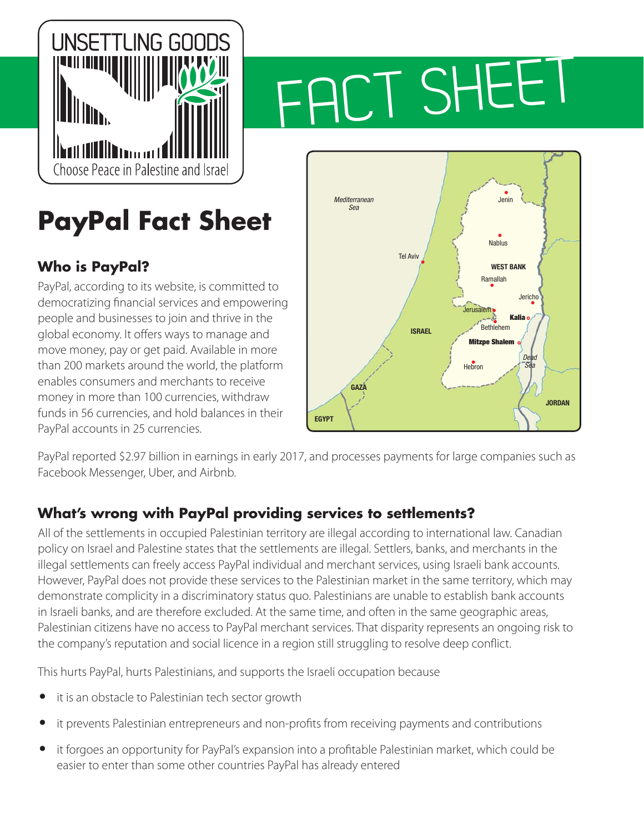

# FACT SHEET

## **PayPal Fact Sheet**

### **Who is PayPal?**

PayPal, according to its website, is committed to democratizing financial services and empowering people and businesses to join and thrive in the global economy. It offers ways to manage and move money, pay or get paid. Available in more than 200 markets around the world, the platform enables consumers and merchants to receive money in more than 100 currencies, withdraw funds in 56 currencies, and hold balances in their PayPal accounts in 25 currencies.



PayPal reported \$2.97 billion in earnings in early 2017, and processes payments for large companies such as Facebook Messenger, Uber, and Airbnb.

#### **What's wrong with PayPal providing services to settlements?**

All of the settlements in occupied Palestinian territory are illegal according to international law. [Canadian](http://www.international.gc.ca/name-anmo/peace_process-processus_paix/canadian_policy-politique_canadienne.aspx?lang=eng&view=d#a06)  [policy on Israel and Palestine](http://www.international.gc.ca/name-anmo/peace_process-processus_paix/canadian_policy-politique_canadienne.aspx?lang=eng&view=d#a06) states that the settlements are illegal. Settlers, banks, and merchants in the illegal settlements can freely access PayPal individual and merchant services, using Israeli bank accounts. However, PayPal does not provide these services to the Palestinian market in the same territory, which may demonstrate complicity in a discriminatory status quo. Palestinians are unable to establish bank accounts in Israeli banks, and are therefore excluded. At the same time, and often in the same geographic areas, Palestinian citizens have no access to PayPal merchant services. That disparity represents an ongoing risk to the company's reputation and social licence in a region still struggling to resolve deep conflict.

This hurts PayPal, hurts Palestinians, and supports the Israeli occupation because

- **•** it is an obstacle to Palestinian tech sector growth
- **•** it prevents Palestinian entrepreneurs and non-profits from receiving payments and contributions
- **•** it forgoes an opportunity for PayPal's expansion into a profitable Palestinian market, which could be easier to enter than some other countries PayPal has already entered